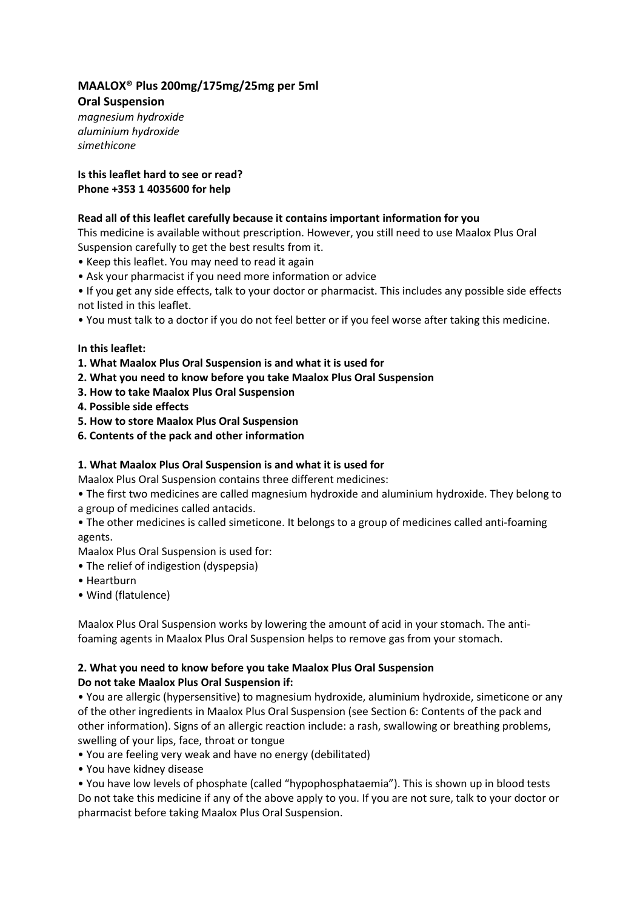# **MAALOX® Plus 200mg/175mg/25mg per 5ml**

**Oral Suspension** *magnesium hydroxide aluminium hydroxide simethicone*

### **Is this leaflet hard to see or read? Phone +353 1 4035600 for help**

### **Read all of this leaflet carefully because it contains important information for you**

This medicine is available without prescription. However, you still need to use Maalox Plus Oral Suspension carefully to get the best results from it.

- Keep this leaflet. You may need to read it again
- Ask your pharmacist if you need more information or advice
- If you get any side effects, talk to your doctor or pharmacist. This includes any possible side effects not listed in this leaflet.
- You must talk to a doctor if you do not feel better or if you feel worse after taking this medicine.

### **In this leaflet:**

- **1. What Maalox Plus Oral Suspension is and what it is used for**
- **2. What you need to know before you take Maalox Plus Oral Suspension**
- **3. How to take Maalox Plus Oral Suspension**
- **4. Possible side effects**
- **5. How to store Maalox Plus Oral Suspension**
- **6. Contents of the pack and other information**

## **1. What Maalox Plus Oral Suspension is and what it is used for**

Maalox Plus Oral Suspension contains three different medicines:

- The first two medicines are called magnesium hydroxide and aluminium hydroxide. They belong to a group of medicines called antacids.
- The other medicines is called simeticone. It belongs to a group of medicines called anti-foaming agents.

Maalox Plus Oral Suspension is used for:

- The relief of indigestion (dyspepsia)
- Heartburn
- Wind (flatulence)

Maalox Plus Oral Suspension works by lowering the amount of acid in your stomach. The antifoaming agents in Maalox Plus Oral Suspension helps to remove gas from your stomach.

#### **2. What you need to know before you take Maalox Plus Oral Suspension Do not take Maalox Plus Oral Suspension if:**

• You are allergic (hypersensitive) to magnesium hydroxide, aluminium hydroxide, simeticone or any of the other ingredients in Maalox Plus Oral Suspension (see Section 6: Contents of the pack and other information). Signs of an allergic reaction include: a rash, swallowing or breathing problems, swelling of your lips, face, throat or tongue

- You are feeling very weak and have no energy (debilitated)
- You have kidney disease

• You have low levels of phosphate (called "hypophosphataemia"). This is shown up in blood tests Do not take this medicine if any of the above apply to you. If you are not sure, talk to your doctor or pharmacist before taking Maalox Plus Oral Suspension.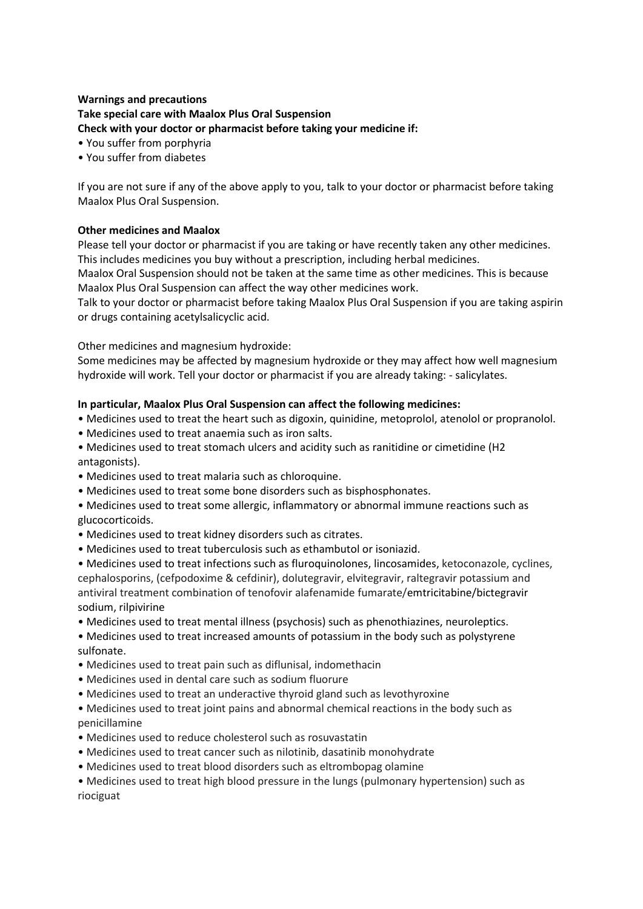### **Warnings and precautions Take special care with Maalox Plus Oral Suspension Check with your doctor or pharmacist before taking your medicine if:**

- You suffer from porphyria
- You suffer from diabetes

If you are not sure if any of the above apply to you, talk to your doctor or pharmacist before taking Maalox Plus Oral Suspension.

#### **Other medicines and Maalox**

Please tell your doctor or pharmacist if you are taking or have recently taken any other medicines. This includes medicines you buy without a prescription, including herbal medicines.

Maalox Oral Suspension should not be taken at the same time as other medicines. This is because Maalox Plus Oral Suspension can affect the way other medicines work.

Talk to your doctor or pharmacist before taking Maalox Plus Oral Suspension if you are taking aspirin or drugs containing acetylsalicyclic acid.

Other medicines and magnesium hydroxide:

Some medicines may be affected by magnesium hydroxide or they may affect how well magnesium hydroxide will work. Tell your doctor or pharmacist if you are already taking: - salicylates.

### **In particular, Maalox Plus Oral Suspension can affect the following medicines:**

- Medicines used to treat the heart such as digoxin, quinidine, metoprolol, atenolol or propranolol.
- Medicines used to treat anaemia such as iron salts.
- Medicines used to treat stomach ulcers and acidity such as ranitidine or cimetidine (H2 antagonists).
- Medicines used to treat malaria such as chloroquine.
- Medicines used to treat some bone disorders such as bisphosphonates.
- Medicines used to treat some allergic, inflammatory or abnormal immune reactions such as glucocorticoids.
- Medicines used to treat kidney disorders such as citrates.
- Medicines used to treat tuberculosis such as ethambutol or isoniazid.
- Medicines used to treat infections such as fluroquinolones, lincosamides, ketoconazole, cyclines, cephalosporins, (cefpodoxime & cefdinir), dolutegravir, elvitegravir, raltegravir potassium and antiviral treatment combination of tenofovir alafenamide fumarate/emtricitabine/bictegravir sodium, rilpivirine
- Medicines used to treat mental illness (psychosis) such as phenothiazines, neuroleptics.
- Medicines used to treat increased amounts of potassium in the body such as polystyrene sulfonate.
- Medicines used to treat pain such as diflunisal, indomethacin
- Medicines used in dental care such as sodium fluorure
- Medicines used to treat an underactive thyroid gland such as levothyroxine
- Medicines used to treat joint pains and abnormal chemical reactions in the body such as penicillamine
- Medicines used to reduce cholesterol such as rosuvastatin
- Medicines used to treat cancer such as nilotinib, dasatinib monohydrate
- Medicines used to treat blood disorders such as eltrombopag olamine

• Medicines used to treat high blood pressure in the lungs (pulmonary hypertension) such as riociguat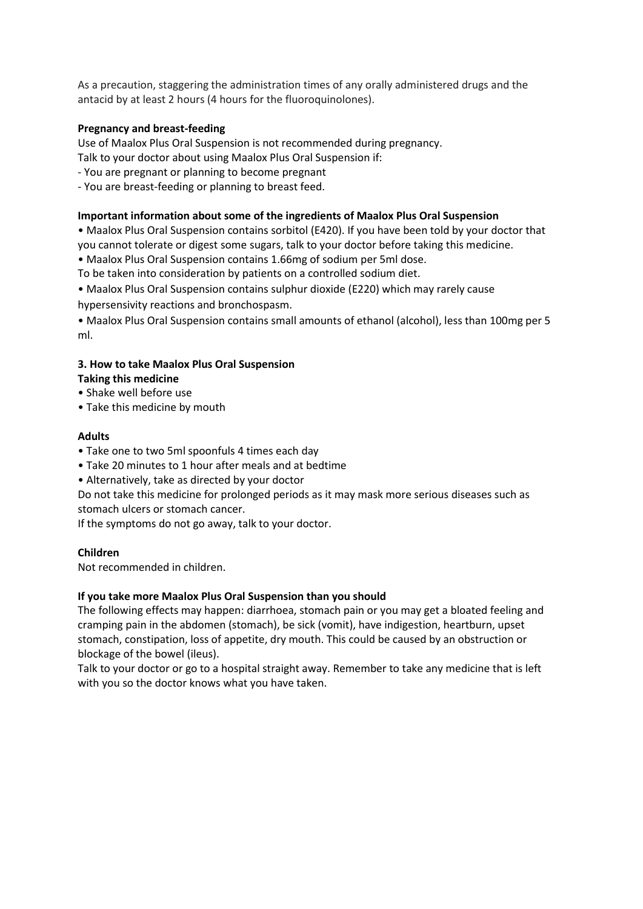As a precaution, staggering the administration times of any orally administered drugs and the antacid by at least 2 hours (4 hours for the fluoroquinolones).

### **Pregnancy and breast-feeding**

Use of Maalox Plus Oral Suspension is not recommended during pregnancy.

Talk to your doctor about using Maalox Plus Oral Suspension if:

- You are pregnant or planning to become pregnant
- You are breast-feeding or planning to breast feed.

#### **Important information about some of the ingredients of Maalox Plus Oral Suspension**

• Maalox Plus Oral Suspension contains sorbitol (E420). If you have been told by your doctor that you cannot tolerate or digest some sugars, talk to your doctor before taking this medicine.

• Maalox Plus Oral Suspension contains 1.66mg of sodium per 5ml dose.

To be taken into consideration by patients on a controlled sodium diet.

- Maalox Plus Oral Suspension contains sulphur dioxide (E220) which may rarely cause
- hypersensivity reactions and bronchospasm.

• Maalox Plus Oral Suspension contains small amounts of ethanol (alcohol), less than 100mg per 5 ml.

### **3. How to take Maalox Plus Oral Suspension**

- **Taking this medicine**
- Shake well before use
- Take this medicine by mouth

### **Adults**

- Take one to two 5ml spoonfuls 4 times each day
- Take 20 minutes to 1 hour after meals and at bedtime
- Alternatively, take as directed by your doctor

Do not take this medicine for prolonged periods as it may mask more serious diseases such as stomach ulcers or stomach cancer.

If the symptoms do not go away, talk to your doctor.

#### **Children**

Not recommended in children.

#### **If you take more Maalox Plus Oral Suspension than you should**

The following effects may happen: diarrhoea, stomach pain or you may get a bloated feeling and cramping pain in the abdomen (stomach), be sick (vomit), have indigestion, heartburn, upset stomach, constipation, loss of appetite, dry mouth. This could be caused by an obstruction or blockage of the bowel (ileus).

Talk to your doctor or go to a hospital straight away. Remember to take any medicine that is left with you so the doctor knows what you have taken.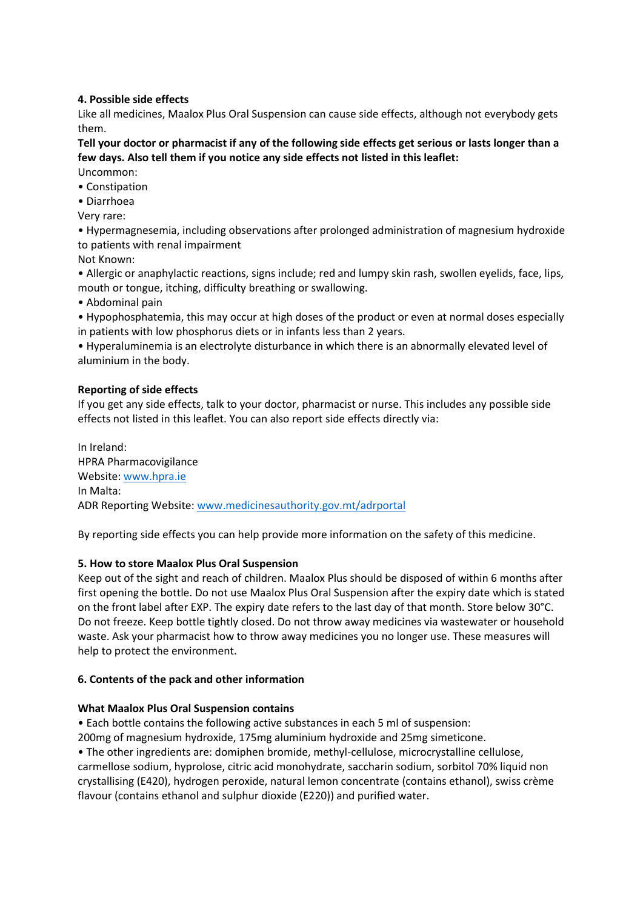### **4. Possible side effects**

Like all medicines, Maalox Plus Oral Suspension can cause side effects, although not everybody gets them.

**Tell your doctor or pharmacist if any of the following side effects get serious or lasts longer than a few days. Also tell them if you notice any side effects not listed in this leaflet:** Uncommon:

- Constipation
- Diarrhoea

Very rare:

• Hypermagnesemia, including observations after prolonged administration of magnesium hydroxide to patients with renal impairment

Not Known:

• Allergic or anaphylactic reactions, signs include; red and lumpy skin rash, swollen eyelids, face, lips, mouth or tongue, itching, difficulty breathing or swallowing.

• Abdominal pain

• Hypophosphatemia, this may occur at high doses of the product or even at normal doses especially in patients with low phosphorus diets or in infants less than 2 years.

• Hyperaluminemia is an electrolyte disturbance in which there is an abnormally elevated level of aluminium in the body.

### **Reporting of side effects**

If you get any side effects, talk to your doctor, pharmacist or nurse. This includes any possible side effects not listed in this leaflet. You can also report side effects directly via:

In Ireland: HPRA Pharmacovigilance Website[: www.hpra.ie](http://www.hpra.ie/) In Malta: ADR Reporting Website[: www.medicinesauthority.gov.mt/adrportal](http://www.medicinesauthority.gov.mt/adrportal)

By reporting side effects you can help provide more information on the safety of this medicine.

#### **5. How to store Maalox Plus Oral Suspension**

Keep out of the sight and reach of children. Maalox Plus should be disposed of within 6 months after first opening the bottle. Do not use Maalox Plus Oral Suspension after the expiry date which is stated on the front label after EXP. The expiry date refers to the last day of that month. Store below 30°C. Do not freeze. Keep bottle tightly closed. Do not throw away medicines via wastewater or household waste. Ask your pharmacist how to throw away medicines you no longer use. These measures will help to protect the environment.

#### **6. Contents of the pack and other information**

#### **What Maalox Plus Oral Suspension contains**

• Each bottle contains the following active substances in each 5 ml of suspension:

200mg of magnesium hydroxide, 175mg aluminium hydroxide and 25mg simeticone.

• The other ingredients are: domiphen bromide, methyl-cellulose, microcrystalline cellulose, carmellose sodium, hyprolose, citric acid monohydrate, saccharin sodium, sorbitol 70% liquid non crystallising (E420), hydrogen peroxide, natural lemon concentrate (contains ethanol), swiss crème flavour (contains ethanol and sulphur dioxide (E220)) and purified water.